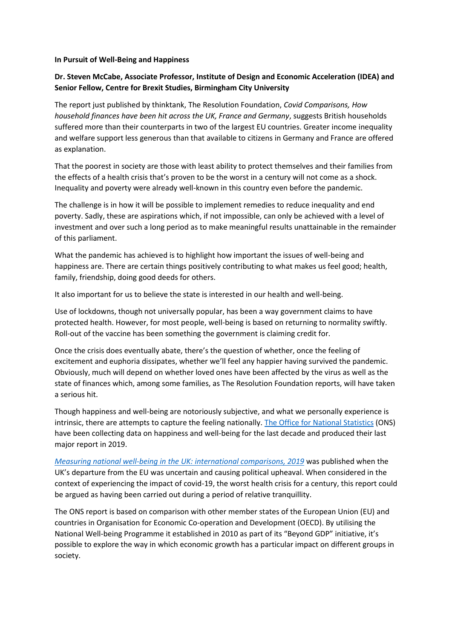## **In Pursuit of Well-Being and Happiness**

## **Dr. Steven McCabe, Associate Professor, Institute of Design and Economic Acceleration (IDEA) and Senior Fellow, Centre for Brexit Studies, Birmingham City University**

The report just published by thinktank, The Resolution Foundation, *Covid Comparisons, How household finances have been hit across the UK, France and Germany*, suggests British households suffered more than their counterparts in two of the largest EU countries. Greater income inequality and welfare support less generous than that available to citizens in Germany and France are offered as explanation.

That the poorest in society are those with least ability to protect themselves and their families from the effects of a health crisis that's proven to be the worst in a century will not come as a shock. Inequality and poverty were already well-known in this country even before the pandemic.

The challenge is in how it will be possible to implement remedies to reduce inequality and end poverty. Sadly, these are aspirations which, if not impossible, can only be achieved with a level of investment and over such a long period as to make meaningful results unattainable in the remainder of this parliament.

What the pandemic has achieved is to highlight how important the issues of well-being and happiness are. There are certain things positively contributing to what makes us feel good; health, family, friendship, doing good deeds for others.

It also important for us to believe the state is interested in our health and well-being.

Use of lockdowns, though not universally popular, has been a way government claims to have protected health. However, for most people, well-being is based on returning to normality swiftly. Roll-out of the vaccine has been something the government is claiming credit for.

Once the crisis does eventually abate, there's the question of whether, once the feeling of excitement and euphoria dissipates, whether we'll feel any happier having survived the pandemic. Obviously, much will depend on whether loved ones have been affected by the virus as well as the state of finances which, among some families, as The Resolution Foundation reports, will have taken a serious hit.

Though happiness and well-being are notoriously subjective, and what we personally experience is intrinsic, there are attempts to capture the feeling nationally. [The Office for National Statistics](https://www.ons.gov.uk/peoplepopulationandcommunity/wellbeing/articles/measuringnationalwellbeing/internationalcomparisons2019) (ONS) have been collecting data on happiness and well-being for the last decade and produced their last major report in 2019.

*[Measuring national well-being in the UK: international comparisons, 2019](https://www.ons.gov.uk/peoplepopulationandcommunity/wellbeing/articles/measuringnationalwellbeing/internationalcomparisons2019)* was published when the UK's departure from the EU was uncertain and causing political upheaval. When considered in the context of experiencing the impact of covid-19, the worst health crisis for a century, this report could be argued as having been carried out during a period of relative tranquillity.

The ONS report is based on comparison with other member states of the European Union (EU) and countries in Organisation for Economic Co-operation and Development (OECD). By utilising the National Well-being Programme it established in 2010 as part of its "Beyond GDP" initiative, it's possible to explore the way in which economic growth has a particular impact on different groups in society.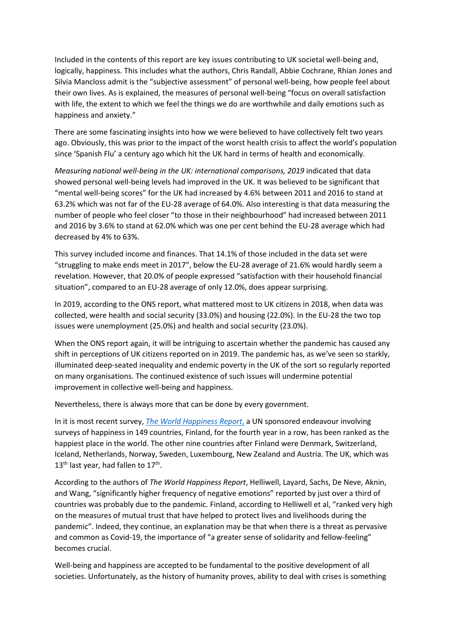Included in the contents of this report are key issues contributing to UK societal well-being and, logically, happiness. This includes what the authors, Chris Randall, Abbie Cochrane, Rhian Jones and Silvia Mancloss admit is the "subjective assessment" of personal well-being, how people feel about their own lives. As is explained, the measures of personal well-being "focus on overall satisfaction with life, the extent to which we feel the things we do are worthwhile and daily emotions such as happiness and anxiety."

There are some fascinating insights into how we were believed to have collectively felt two years ago. Obviously, this was prior to the impact of the worst health crisis to affect the world's population since 'Spanish Flu' a century ago which hit the UK hard in terms of health and economically.

*Measuring national well-being in the UK: international comparisons, 2019* indicated that data showed personal well-being levels had improved in the UK. It was believed to be significant that "mental well-being scores" for the UK had increased by 4.6% between 2011 and 2016 to stand at 63.2% which was not far of the EU-28 average of 64.0%. Also interesting is that data measuring the number of people who feel closer "to those in their neighbourhood" had increased between 2011 and 2016 by 3.6% to stand at 62.0% which was one per cent behind the EU-28 average which had decreased by 4% to 63%.

This survey included income and finances. That 14.1% of those included in the data set were "struggling to make ends meet in 2017", below the EU-28 average of 21.6% would hardly seem a revelation. However, that 20.0% of people expressed "satisfaction with their household financial situation", compared to an EU-28 average of only 12.0%, does appear surprising.

In 2019, according to the ONS report, what mattered most to UK citizens in 2018, when data was collected, were health and social security (33.0%) and housing (22.0%). In the EU-28 the two top issues were unemployment (25.0%) and health and social security (23.0%).

When the ONS report again, it will be intriguing to ascertain whether the pandemic has caused any shift in perceptions of UK citizens reported on in 2019. The pandemic has, as we've seen so starkly, illuminated deep-seated inequality and endemic poverty in the UK of the sort so regularly reported on many organisations. The continued existence of such issues will undermine potential improvement in collective well-being and happiness.

Nevertheless, there is always more that can be done by every government.

In it is most recent survey, *[The World Happiness Report](https://www.bbc.co.uk/news/world-europe-56457295.)*, a UN sponsored endeavour involving surveys of happiness in 149 countries, Finland, for the fourth year in a row, has been ranked as the happiest place in the world. The other nine countries after Finland were Denmark, Switzerland, Iceland, Netherlands, Norway, Sweden, Luxembourg, New Zealand and Austria. The UK, which was 13<sup>th</sup> last year, had fallen to 17<sup>th</sup>.

According to the authors of *The World Happiness Report*, Helliwell, Layard, Sachs, De Neve, Aknin, and Wang, "significantly higher frequency of negative emotions" reported by just over a third of countries was probably due to the pandemic. Finland, according to Helliwell et al, "ranked very high on the measures of mutual trust that have helped to protect lives and livelihoods during the pandemic". Indeed, they continue, an explanation may be that when there is a threat as pervasive and common as Covid-19, the importance of "a greater sense of solidarity and fellow-feeling" becomes crucial.

Well-being and happiness are accepted to be fundamental to the positive development of all societies. Unfortunately, as the history of humanity proves, ability to deal with crises is something